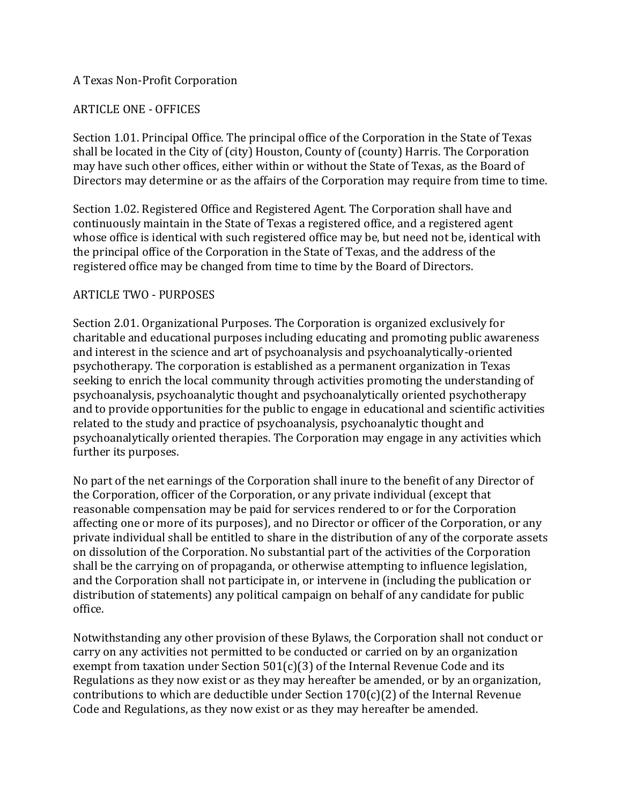### A Texas Non-Profit Corporation

## ARTICLE ONE - OFFICES

Section 1.01. Principal Office. The principal office of the Corporation in the State of Texas shall be located in the City of (city) Houston, County of (county) Harris. The Corporation may have such other offices, either within or without the State of Texas, as the Board of Directors may determine or as the affairs of the Corporation may require from time to time.

Section 1.02. Registered Office and Registered Agent. The Corporation shall have and continuously maintain in the State of Texas a registered office, and a registered agent whose office is identical with such registered office may be, but need not be, identical with the principal office of the Corporation in the State of Texas, and the address of the registered office may be changed from time to time by the Board of Directors.

### ARTICLE TWO - PURPOSES

Section 2.01. Organizational Purposes. The Corporation is organized exclusively for charitable and educational purposes including educating and promoting public awareness and interest in the science and art of psychoanalysis and psychoanalytically-oriented psychotherapy. The corporation is established as a permanent organization in Texas seeking to enrich the local community through activities promoting the understanding of psychoanalysis, psychoanalytic thought and psychoanalytically oriented psychotherapy and to provide opportunities for the public to engage in educational and scientific activities related to the study and practice of psychoanalysis, psychoanalytic thought and psychoanalytically oriented therapies. The Corporation may engage in any activities which further its purposes.

No part of the net earnings of the Corporation shall inure to the benefit of any Director of the Corporation, officer of the Corporation, or any private individual (except that reasonable compensation may be paid for services rendered to or for the Corporation affecting one or more of its purposes), and no Director or officer of the Corporation, or any private individual shall be entitled to share in the distribution of any of the corporate assets on dissolution of the Corporation. No substantial part of the activities of the Corporation shall be the carrying on of propaganda, or otherwise attempting to influence legislation, and the Corporation shall not participate in, or intervene in (including the publication or distribution of statements) any political campaign on behalf of any candidate for public office.

Notwithstanding any other provision of these Bylaws, the Corporation shall not conduct or carry on any activities not permitted to be conducted or carried on by an organization exempt from taxation under Section 501(c)(3) of the Internal Revenue Code and its Regulations as they now exist or as they may hereafter be amended, or by an organization, contributions to which are deductible under Section 170(c)(2) of the Internal Revenue Code and Regulations, as they now exist or as they may hereafter be amended.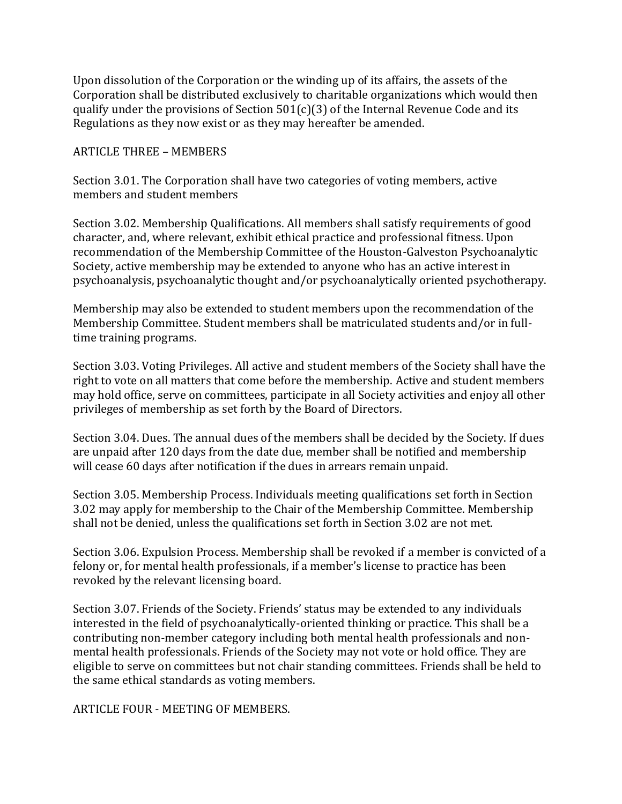Upon dissolution of the Corporation or the winding up of its affairs, the assets of the Corporation shall be distributed exclusively to charitable organizations which would then qualify under the provisions of Section  $501(c)(3)$  of the Internal Revenue Code and its Regulations as they now exist or as they may hereafter be amended.

#### ARTICLE THREE – MEMBERS

Section 3.01. The Corporation shall have two categories of voting members, active members and student members

Section 3.02. Membership Qualifications. All members shall satisfy requirements of good character, and, where relevant, exhibit ethical practice and professional fitness. Upon recommendation of the Membership Committee of the Houston-Galveston Psychoanalytic Society, active membership may be extended to anyone who has an active interest in psychoanalysis, psychoanalytic thought and/or psychoanalytically oriented psychotherapy.

Membership may also be extended to student members upon the recommendation of the Membership Committee. Student members shall be matriculated students and/or in fulltime training programs.

Section 3.03. Voting Privileges. All active and student members of the Society shall have the right to vote on all matters that come before the membership. Active and student members may hold office, serve on committees, participate in all Society activities and enjoy all other privileges of membership as set forth by the Board of Directors.

Section 3.04. Dues. The annual dues of the members shall be decided by the Society. If dues are unpaid after 120 days from the date due, member shall be notified and membership will cease 60 days after notification if the dues in arrears remain unpaid.

Section 3.05. Membership Process. Individuals meeting qualifications set forth in Section 3.02 may apply for membership to the Chair of the Membership Committee. Membership shall not be denied, unless the qualifications set forth in Section 3.02 are not met.

Section 3.06. Expulsion Process. Membership shall be revoked if a member is convicted of a felony or, for mental health professionals, if a member's license to practice has been revoked by the relevant licensing board.

Section 3.07. Friends of the Society. Friends' status may be extended to any individuals interested in the field of psychoanalytically-oriented thinking or practice. This shall be a contributing non-member category including both mental health professionals and nonmental health professionals. Friends of the Society may not vote or hold office. They are eligible to serve on committees but not chair standing committees. Friends shall be held to the same ethical standards as voting members.

ARTICLE FOUR - MEETING OF MEMBERS.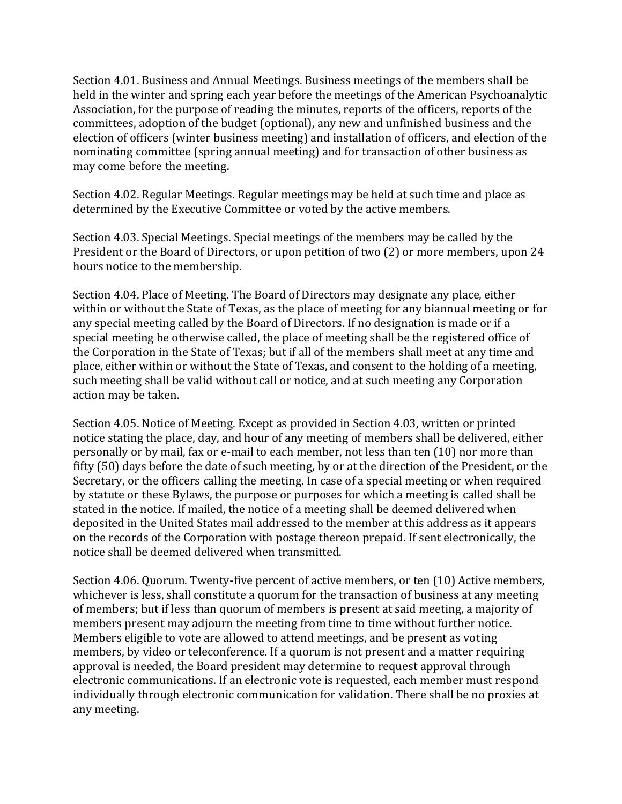Section 4.01. Business and Annual Meetings. Business meetings of the members shall be held in the winter and spring each year before the meetings of the American Psychoanalytic Association, for the purpose of reading the minutes, reports of the officers, reports of the committees, adoption of the budget (optional), any new and unfinished business and the election of officers (winter business meeting) and installation of officers, and election of the nominating committee (spring annual meeting) and for transaction of other business as may come before the meeting.

Section 4.02. Regular Meetings. Regular meetings may be held at such time and place as determined by the Executive Committee or voted by the active members.

Section 4.03. Special Meetings. Special meetings of the members may be called by the President or the Board of Directors, or upon petition of two (2) or more members, upon 24 hours notice to the membership.

Section 4.04. Place of Meeting. The Board of Directors may designate any place, either within or without the State of Texas, as the place of meeting for any biannual meeting or for any special meeting called by the Board of Directors. If no designation is made or if a special meeting be otherwise called, the place of meeting shall be the registered office of the Corporation in the State of Texas; but if all of the members shall meet at any time and place, either within or without the State of Texas, and consent to the holding of a meeting, such meeting shall be valid without call or notice, and at such meeting any Corporation action may be taken.

Section 4.05. Notice of Meeting. Except as provided in Section 4.03, written or printed notice stating the place, day, and hour of any meeting of members shall be delivered, either personally or by mail, fax or e-mail to each member, not less than ten (10) nor more than fifty (50) days before the date of such meeting, by or at the direction of the President, or the Secretary, or the officers calling the meeting. In case of a special meeting or when required by statute or these Bylaws, the purpose or purposes for which a meeting is called shall be stated in the notice. If mailed, the notice of a meeting shall be deemed delivered when deposited in the United States mail addressed to the member at this address as it appears on the records of the Corporation with postage thereon prepaid. If sent electronically, the notice shall be deemed delivered when transmitted.

Section 4.06. Quorum. Twenty-five percent of active members, or ten (10) Active members, whichever is less, shall constitute a quorum for the transaction of business at any meeting of members; but if less than quorum of members is present at said meeting, a majority of members present may adjourn the meeting from time to time without further notice. Members eligible to vote are allowed to attend meetings, and be present as voting members, by video or teleconference. If a quorum is not present and a matter requiring approval is needed, the Board president may determine to request approval through electronic communications. If an electronic vote is requested, each member must respond individually through electronic communication for validation. There shall be no proxies at any meeting.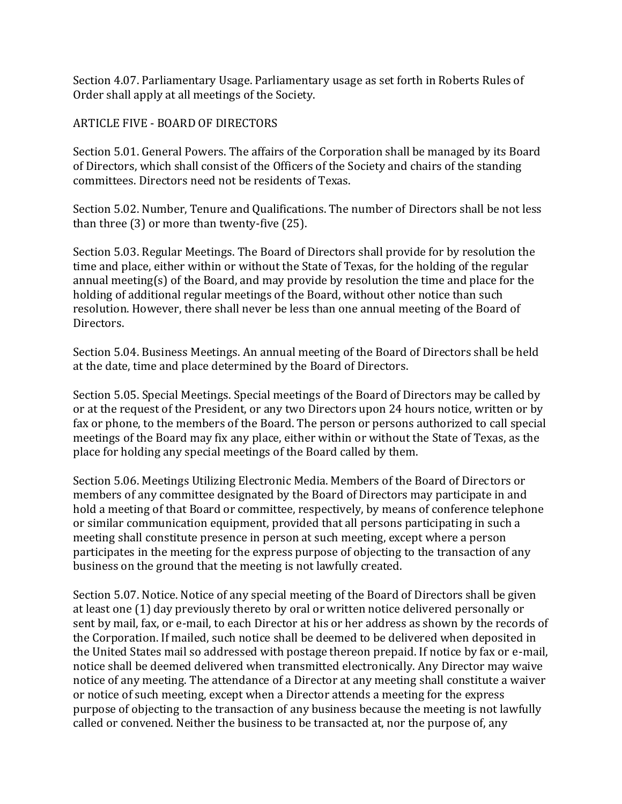Section 4.07. Parliamentary Usage. Parliamentary usage as set forth in Roberts Rules of Order shall apply at all meetings of the Society.

## ARTICLE FIVE - BOARD OF DIRECTORS

Section 5.01. General Powers. The affairs of the Corporation shall be managed by its Board of Directors, which shall consist of the Officers of the Society and chairs of the standing committees. Directors need not be residents of Texas.

Section 5.02. Number, Tenure and Qualifications. The number of Directors shall be not less than three (3) or more than twenty-five (25).

Section 5.03. Regular Meetings. The Board of Directors shall provide for by resolution the time and place, either within or without the State of Texas, for the holding of the regular annual meeting(s) of the Board, and may provide by resolution the time and place for the holding of additional regular meetings of the Board, without other notice than such resolution. However, there shall never be less than one annual meeting of the Board of Directors.

Section 5.04. Business Meetings. An annual meeting of the Board of Directors shall be held at the date, time and place determined by the Board of Directors.

Section 5.05. Special Meetings. Special meetings of the Board of Directors may be called by or at the request of the President, or any two Directors upon 24 hours notice, written or by fax or phone, to the members of the Board. The person or persons authorized to call special meetings of the Board may fix any place, either within or without the State of Texas, as the place for holding any special meetings of the Board called by them.

Section 5.06. Meetings Utilizing Electronic Media. Members of the Board of Directors or members of any committee designated by the Board of Directors may participate in and hold a meeting of that Board or committee, respectively, by means of conference telephone or similar communication equipment, provided that all persons participating in such a meeting shall constitute presence in person at such meeting, except where a person participates in the meeting for the express purpose of objecting to the transaction of any business on the ground that the meeting is not lawfully created.

Section 5.07. Notice. Notice of any special meeting of the Board of Directors shall be given at least one (1) day previously thereto by oral or written notice delivered personally or sent by mail, fax, or e-mail, to each Director at his or her address as shown by the records of the Corporation. If mailed, such notice shall be deemed to be delivered when deposited in the United States mail so addressed with postage thereon prepaid. If notice by fax or e-mail, notice shall be deemed delivered when transmitted electronically. Any Director may waive notice of any meeting. The attendance of a Director at any meeting shall constitute a waiver or notice of such meeting, except when a Director attends a meeting for the express purpose of objecting to the transaction of any business because the meeting is not lawfully called or convened. Neither the business to be transacted at, nor the purpose of, any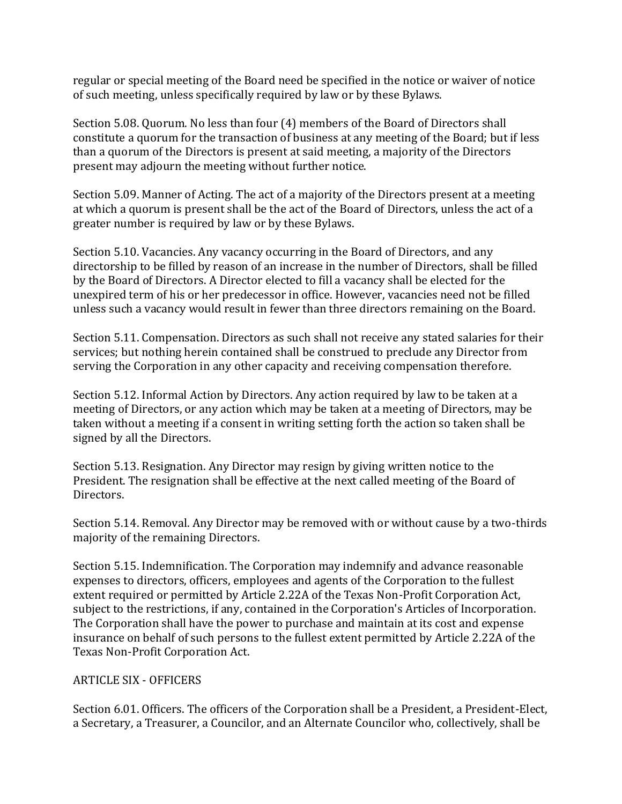regular or special meeting of the Board need be specified in the notice or waiver of notice of such meeting, unless specifically required by law or by these Bylaws.

Section 5.08. Quorum. No less than four (4) members of the Board of Directors shall constitute a quorum for the transaction of business at any meeting of the Board; but if less than a quorum of the Directors is present at said meeting, a majority of the Directors present may adjourn the meeting without further notice.

Section 5.09. Manner of Acting. The act of a majority of the Directors present at a meeting at which a quorum is present shall be the act of the Board of Directors, unless the act of a greater number is required by law or by these Bylaws.

Section 5.10. Vacancies. Any vacancy occurring in the Board of Directors, and any directorship to be filled by reason of an increase in the number of Directors, shall be filled by the Board of Directors. A Director elected to fill a vacancy shall be elected for the unexpired term of his or her predecessor in office. However, vacancies need not be filled unless such a vacancy would result in fewer than three directors remaining on the Board.

Section 5.11. Compensation. Directors as such shall not receive any stated salaries for their services; but nothing herein contained shall be construed to preclude any Director from serving the Corporation in any other capacity and receiving compensation therefore.

Section 5.12. Informal Action by Directors. Any action required by law to be taken at a meeting of Directors, or any action which may be taken at a meeting of Directors, may be taken without a meeting if a consent in writing setting forth the action so taken shall be signed by all the Directors.

Section 5.13. Resignation. Any Director may resign by giving written notice to the President. The resignation shall be effective at the next called meeting of the Board of Directors.

Section 5.14. Removal. Any Director may be removed with or without cause by a two-thirds majority of the remaining Directors.

Section 5.15. Indemnification. The Corporation may indemnify and advance reasonable expenses to directors, officers, employees and agents of the Corporation to the fullest extent required or permitted by Article 2.22A of the Texas Non-Profit Corporation Act, subject to the restrictions, if any, contained in the Corporation's Articles of Incorporation. The Corporation shall have the power to purchase and maintain at its cost and expense insurance on behalf of such persons to the fullest extent permitted by Article 2.22A of the Texas Non-Profit Corporation Act.

# ARTICLE SIX - OFFICERS

Section 6.01. Officers. The officers of the Corporation shall be a President, a President-Elect, a Secretary, a Treasurer, a Councilor, and an Alternate Councilor who, collectively, shall be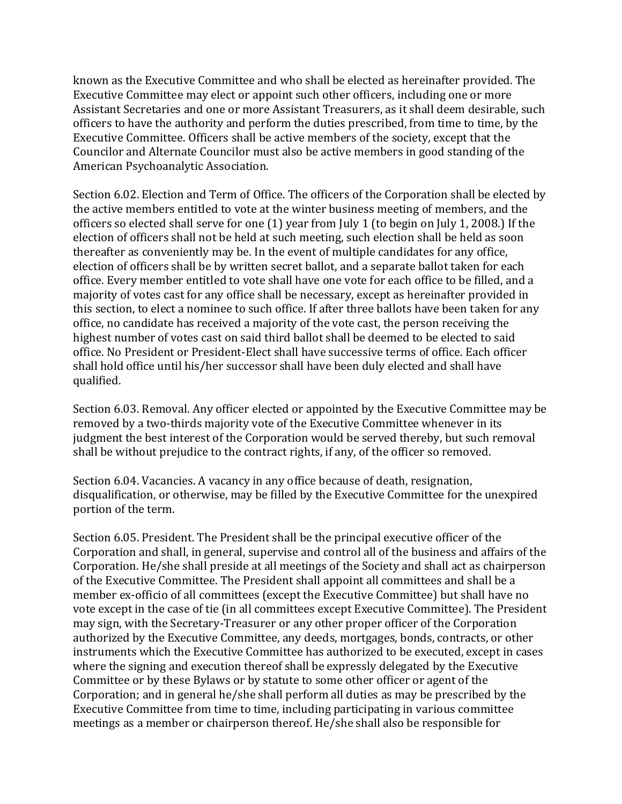known as the Executive Committee and who shall be elected as hereinafter provided. The Executive Committee may elect or appoint such other officers, including one or more Assistant Secretaries and one or more Assistant Treasurers, as it shall deem desirable, such officers to have the authority and perform the duties prescribed, from time to time, by the Executive Committee. Officers shall be active members of the society, except that the Councilor and Alternate Councilor must also be active members in good standing of the American Psychoanalytic Association.

Section 6.02. Election and Term of Office. The officers of the Corporation shall be elected by the active members entitled to vote at the winter business meeting of members, and the officers so elected shall serve for one (1) year from July 1 (to begin on July 1, 2008.) If the election of officers shall not be held at such meeting, such election shall be held as soon thereafter as conveniently may be. In the event of multiple candidates for any office, election of officers shall be by written secret ballot, and a separate ballot taken for each office. Every member entitled to vote shall have one vote for each office to be filled, and a majority of votes cast for any office shall be necessary, except as hereinafter provided in this section, to elect a nominee to such office. If after three ballots have been taken for any office, no candidate has received a majority of the vote cast, the person receiving the highest number of votes cast on said third ballot shall be deemed to be elected to said office. No President or President-Elect shall have successive terms of office. Each officer shall hold office until his/her successor shall have been duly elected and shall have qualified.

Section 6.03. Removal. Any officer elected or appointed by the Executive Committee may be removed by a two-thirds majority vote of the Executive Committee whenever in its judgment the best interest of the Corporation would be served thereby, but such removal shall be without prejudice to the contract rights, if any, of the officer so removed.

Section 6.04. Vacancies. A vacancy in any office because of death, resignation, disqualification, or otherwise, may be filled by the Executive Committee for the unexpired portion of the term.

Section 6.05. President. The President shall be the principal executive officer of the Corporation and shall, in general, supervise and control all of the business and affairs of the Corporation. He/she shall preside at all meetings of the Society and shall act as chairperson of the Executive Committee. The President shall appoint all committees and shall be a member ex-officio of all committees (except the Executive Committee) but shall have no vote except in the case of tie (in all committees except Executive Committee). The President may sign, with the Secretary-Treasurer or any other proper officer of the Corporation authorized by the Executive Committee, any deeds, mortgages, bonds, contracts, or other instruments which the Executive Committee has authorized to be executed, except in cases where the signing and execution thereof shall be expressly delegated by the Executive Committee or by these Bylaws or by statute to some other officer or agent of the Corporation; and in general he/she shall perform all duties as may be prescribed by the Executive Committee from time to time, including participating in various committee meetings as a member or chairperson thereof. He/she shall also be responsible for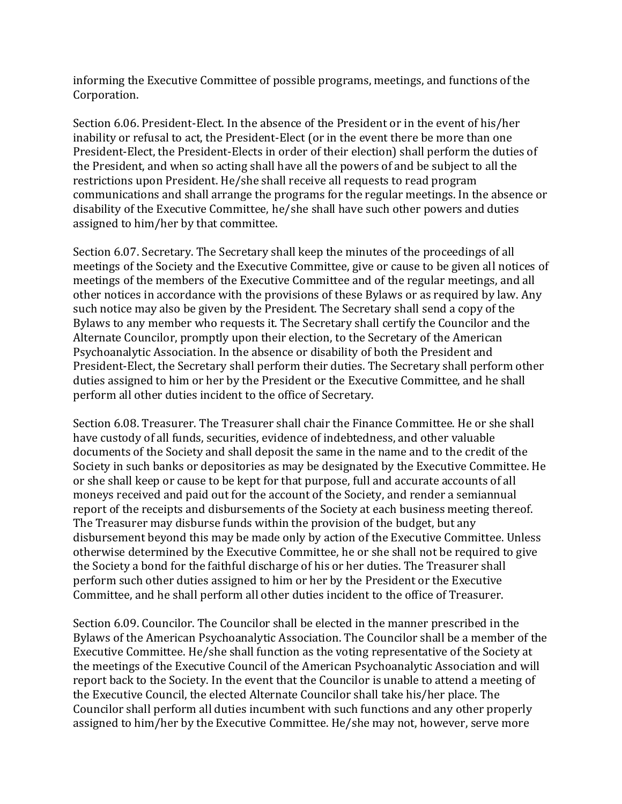informing the Executive Committee of possible programs, meetings, and functions of the Corporation.

Section 6.06. President-Elect. In the absence of the President or in the event of his/her inability or refusal to act, the President-Elect (or in the event there be more than one President-Elect, the President-Elects in order of their election) shall perform the duties of the President, and when so acting shall have all the powers of and be subject to all the restrictions upon President. He/she shall receive all requests to read program communications and shall arrange the programs for the regular meetings. In the absence or disability of the Executive Committee, he/she shall have such other powers and duties assigned to him/her by that committee.

Section 6.07. Secretary. The Secretary shall keep the minutes of the proceedings of all meetings of the Society and the Executive Committee, give or cause to be given all notices of meetings of the members of the Executive Committee and of the regular meetings, and all other notices in accordance with the provisions of these Bylaws or as required by law. Any such notice may also be given by the President. The Secretary shall send a copy of the Bylaws to any member who requests it. The Secretary shall certify the Councilor and the Alternate Councilor, promptly upon their election, to the Secretary of the American Psychoanalytic Association. In the absence or disability of both the President and President-Elect, the Secretary shall perform their duties. The Secretary shall perform other duties assigned to him or her by the President or the Executive Committee, and he shall perform all other duties incident to the office of Secretary.

Section 6.08. Treasurer. The Treasurer shall chair the Finance Committee. He or she shall have custody of all funds, securities, evidence of indebtedness, and other valuable documents of the Society and shall deposit the same in the name and to the credit of the Society in such banks or depositories as may be designated by the Executive Committee. He or she shall keep or cause to be kept for that purpose, full and accurate accounts of all moneys received and paid out for the account of the Society, and render a semiannual report of the receipts and disbursements of the Society at each business meeting thereof. The Treasurer may disburse funds within the provision of the budget, but any disbursement beyond this may be made only by action of the Executive Committee. Unless otherwise determined by the Executive Committee, he or she shall not be required to give the Society a bond for the faithful discharge of his or her duties. The Treasurer shall perform such other duties assigned to him or her by the President or the Executive Committee, and he shall perform all other duties incident to the office of Treasurer.

Section 6.09. Councilor. The Councilor shall be elected in the manner prescribed in the Bylaws of the American Psychoanalytic Association. The Councilor shall be a member of the Executive Committee. He/she shall function as the voting representative of the Society at the meetings of the Executive Council of the American Psychoanalytic Association and will report back to the Society. In the event that the Councilor is unable to attend a meeting of the Executive Council, the elected Alternate Councilor shall take his/her place. The Councilor shall perform all duties incumbent with such functions and any other properly assigned to him/her by the Executive Committee. He/she may not, however, serve more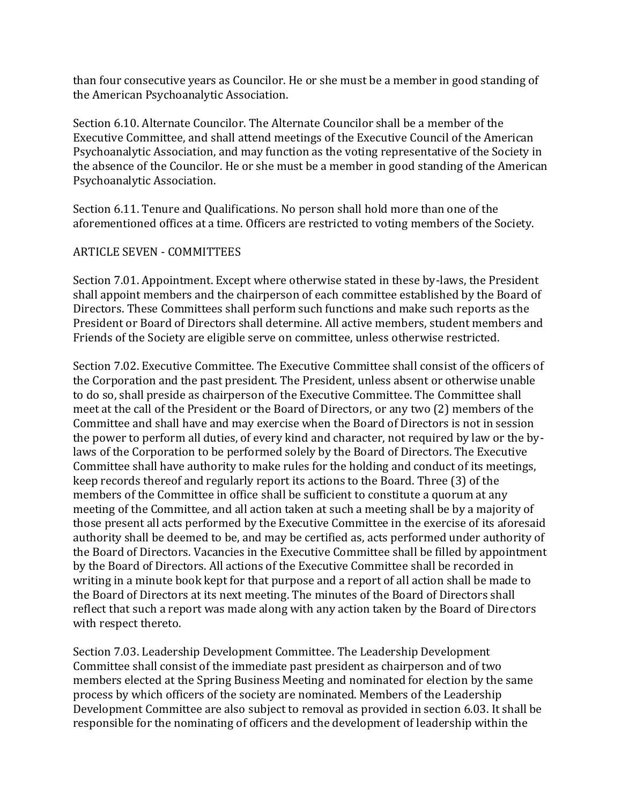than four consecutive years as Councilor. He or she must be a member in good standing of the American Psychoanalytic Association.

Section 6.10. Alternate Councilor. The Alternate Councilor shall be a member of the Executive Committee, and shall attend meetings of the Executive Council of the American Psychoanalytic Association, and may function as the voting representative of the Society in the absence of the Councilor. He or she must be a member in good standing of the American Psychoanalytic Association.

Section 6.11. Tenure and Qualifications. No person shall hold more than one of the aforementioned offices at a time. Officers are restricted to voting members of the Society.

## ARTICLE SEVEN - COMMITTEES

Section 7.01. Appointment. Except where otherwise stated in these by-laws, the President shall appoint members and the chairperson of each committee established by the Board of Directors. These Committees shall perform such functions and make such reports as the President or Board of Directors shall determine. All active members, student members and Friends of the Society are eligible serve on committee, unless otherwise restricted.

Section 7.02. Executive Committee. The Executive Committee shall consist of the officers of the Corporation and the past president. The President, unless absent or otherwise unable to do so, shall preside as chairperson of the Executive Committee. The Committee shall meet at the call of the President or the Board of Directors, or any two (2) members of the Committee and shall have and may exercise when the Board of Directors is not in session the power to perform all duties, of every kind and character, not required by law or the bylaws of the Corporation to be performed solely by the Board of Directors. The Executive Committee shall have authority to make rules for the holding and conduct of its meetings, keep records thereof and regularly report its actions to the Board. Three (3) of the members of the Committee in office shall be sufficient to constitute a quorum at any meeting of the Committee, and all action taken at such a meeting shall be by a majority of those present all acts performed by the Executive Committee in the exercise of its aforesaid authority shall be deemed to be, and may be certified as, acts performed under authority of the Board of Directors. Vacancies in the Executive Committee shall be filled by appointment by the Board of Directors. All actions of the Executive Committee shall be recorded in writing in a minute book kept for that purpose and a report of all action shall be made to the Board of Directors at its next meeting. The minutes of the Board of Directors shall reflect that such a report was made along with any action taken by the Board of Directors with respect thereto.

Section 7.03. Leadership Development Committee. The Leadership Development Committee shall consist of the immediate past president as chairperson and of two members elected at the Spring Business Meeting and nominated for election by the same process by which officers of the society are nominated. Members of the Leadership Development Committee are also subject to removal as provided in section 6.03. It shall be responsible for the nominating of officers and the development of leadership within the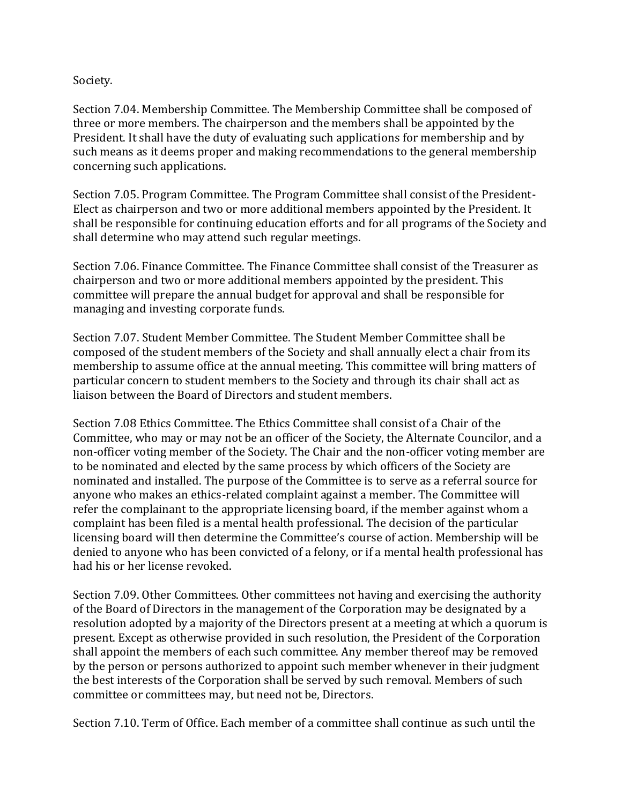Society.

Section 7.04. Membership Committee. The Membership Committee shall be composed of three or more members. The chairperson and the members shall be appointed by the President. It shall have the duty of evaluating such applications for membership and by such means as it deems proper and making recommendations to the general membership concerning such applications.

Section 7.05. Program Committee. The Program Committee shall consist of the President-Elect as chairperson and two or more additional members appointed by the President. It shall be responsible for continuing education efforts and for all programs of the Society and shall determine who may attend such regular meetings.

Section 7.06. Finance Committee. The Finance Committee shall consist of the Treasurer as chairperson and two or more additional members appointed by the president. This committee will prepare the annual budget for approval and shall be responsible for managing and investing corporate funds.

Section 7.07. Student Member Committee. The Student Member Committee shall be composed of the student members of the Society and shall annually elect a chair from its membership to assume office at the annual meeting. This committee will bring matters of particular concern to student members to the Society and through its chair shall act as liaison between the Board of Directors and student members.

Section 7.08 Ethics Committee. The Ethics Committee shall consist of a Chair of the Committee, who may or may not be an officer of the Society, the Alternate Councilor, and a non-officer voting member of the Society. The Chair and the non-officer voting member are to be nominated and elected by the same process by which officers of the Society are nominated and installed. The purpose of the Committee is to serve as a referral source for anyone who makes an ethics-related complaint against a member. The Committee will refer the complainant to the appropriate licensing board, if the member against whom a complaint has been filed is a mental health professional. The decision of the particular licensing board will then determine the Committee's course of action. Membership will be denied to anyone who has been convicted of a felony, or if a mental health professional has had his or her license revoked.

Section 7.09. Other Committees. Other committees not having and exercising the authority of the Board of Directors in the management of the Corporation may be designated by a resolution adopted by a majority of the Directors present at a meeting at which a quorum is present. Except as otherwise provided in such resolution, the President of the Corporation shall appoint the members of each such committee. Any member thereof may be removed by the person or persons authorized to appoint such member whenever in their judgment the best interests of the Corporation shall be served by such removal. Members of such committee or committees may, but need not be, Directors.

Section 7.10. Term of Office. Each member of a committee shall continue as such until the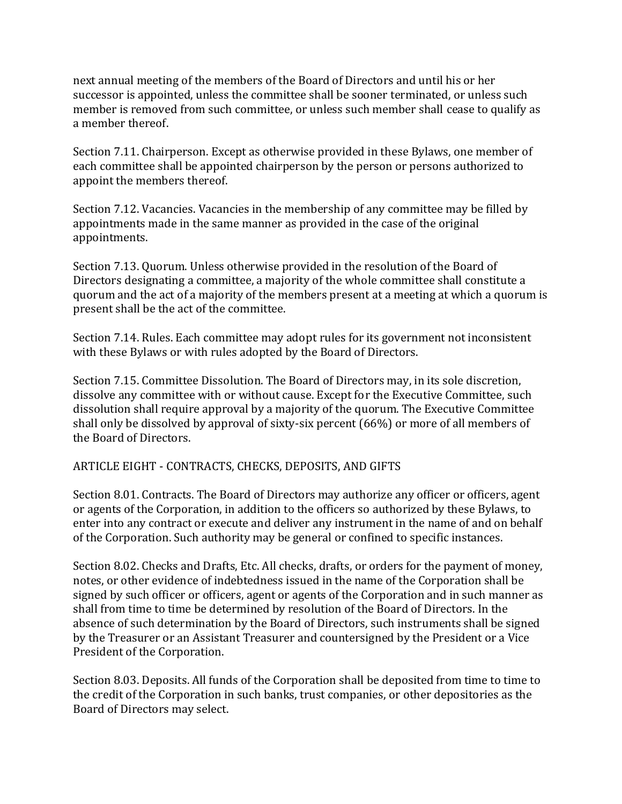next annual meeting of the members of the Board of Directors and until his or her successor is appointed, unless the committee shall be sooner terminated, or unless such member is removed from such committee, or unless such member shall cease to qualify as a member thereof.

Section 7.11. Chairperson. Except as otherwise provided in these Bylaws, one member of each committee shall be appointed chairperson by the person or persons authorized to appoint the members thereof.

Section 7.12. Vacancies. Vacancies in the membership of any committee may be filled by appointments made in the same manner as provided in the case of the original appointments.

Section 7.13. Quorum. Unless otherwise provided in the resolution of the Board of Directors designating a committee, a majority of the whole committee shall constitute a quorum and the act of a majority of the members present at a meeting at which a quorum is present shall be the act of the committee.

Section 7.14. Rules. Each committee may adopt rules for its government not inconsistent with these Bylaws or with rules adopted by the Board of Directors.

Section 7.15. Committee Dissolution. The Board of Directors may, in its sole discretion, dissolve any committee with or without cause. Except for the Executive Committee, such dissolution shall require approval by a majority of the quorum. The Executive Committee shall only be dissolved by approval of sixty-six percent (66%) or more of all members of the Board of Directors.

### ARTICLE EIGHT - CONTRACTS, CHECKS, DEPOSITS, AND GIFTS

Section 8.01. Contracts. The Board of Directors may authorize any officer or officers, agent or agents of the Corporation, in addition to the officers so authorized by these Bylaws, to enter into any contract or execute and deliver any instrument in the name of and on behalf of the Corporation. Such authority may be general or confined to specific instances.

Section 8.02. Checks and Drafts, Etc. All checks, drafts, or orders for the payment of money, notes, or other evidence of indebtedness issued in the name of the Corporation shall be signed by such officer or officers, agent or agents of the Corporation and in such manner as shall from time to time be determined by resolution of the Board of Directors. In the absence of such determination by the Board of Directors, such instruments shall be signed by the Treasurer or an Assistant Treasurer and countersigned by the President or a Vice President of the Corporation.

Section 8.03. Deposits. All funds of the Corporation shall be deposited from time to time to the credit of the Corporation in such banks, trust companies, or other depositories as the Board of Directors may select.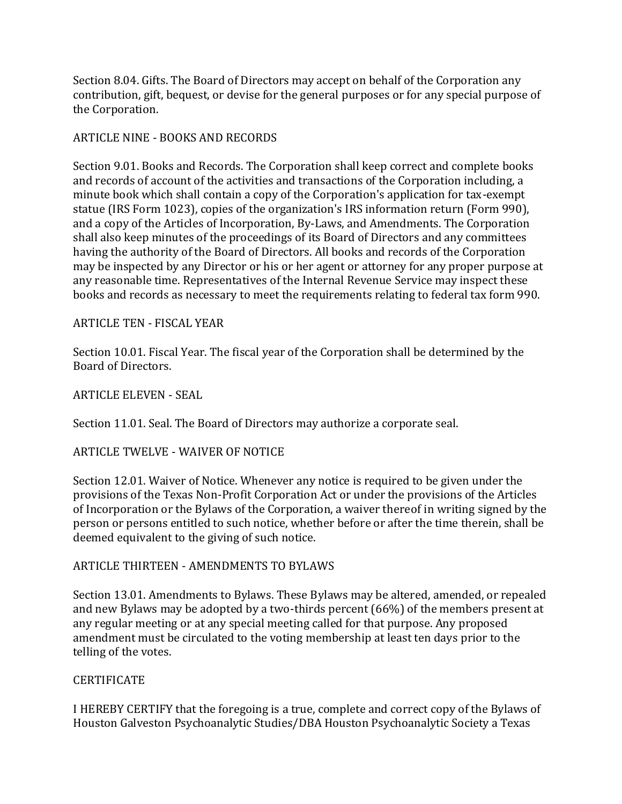Section 8.04. Gifts. The Board of Directors may accept on behalf of the Corporation any contribution, gift, bequest, or devise for the general purposes or for any special purpose of the Corporation.

## ARTICLE NINE - BOOKS AND RECORDS

Section 9.01. Books and Records. The Corporation shall keep correct and complete books and records of account of the activities and transactions of the Corporation including, a minute book which shall contain a copy of the Corporation's application for tax-exempt statue (IRS Form 1023), copies of the organization's IRS information return (Form 990), and a copy of the Articles of Incorporation, By-Laws, and Amendments. The Corporation shall also keep minutes of the proceedings of its Board of Directors and any committees having the authority of the Board of Directors. All books and records of the Corporation may be inspected by any Director or his or her agent or attorney for any proper purpose at any reasonable time. Representatives of the Internal Revenue Service may inspect these books and records as necessary to meet the requirements relating to federal tax form 990.

### ARTICLE TEN - FISCAL YEAR

Section 10.01. Fiscal Year. The fiscal year of the Corporation shall be determined by the Board of Directors.

ARTICLE ELEVEN - SEAL

Section 11.01. Seal. The Board of Directors may authorize a corporate seal.

ARTICLE TWELVE - WAIVER OF NOTICE

Section 12.01. Waiver of Notice. Whenever any notice is required to be given under the provisions of the Texas Non-Profit Corporation Act or under the provisions of the Articles of Incorporation or the Bylaws of the Corporation, a waiver thereof in writing signed by the person or persons entitled to such notice, whether before or after the time therein, shall be deemed equivalent to the giving of such notice.

ARTICLE THIRTEEN - AMENDMENTS TO BYLAWS

Section 13.01. Amendments to Bylaws. These Bylaws may be altered, amended, or repealed and new Bylaws may be adopted by a two-thirds percent (66%) of the members present at any regular meeting or at any special meeting called for that purpose. Any proposed amendment must be circulated to the voting membership at least ten days prior to the telling of the votes.

### **CERTIFICATE**

I HEREBY CERTIFY that the foregoing is a true, complete and correct copy of the Bylaws of Houston Galveston Psychoanalytic Studies/DBA Houston Psychoanalytic Society a Texas